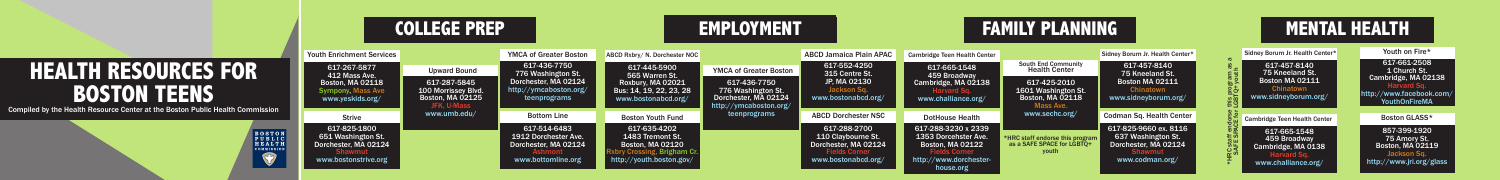Youth on Fire\* 617-661-2508 1 Church St. Cambridge, MA 02138 Harvard Sq. www.facebook.co outhOnFireMA

|                                                  | <b>COLLEGE PREP</b>                                                                               |                                                                                               |                                                                                                      | <b>EMPLOYMENT</b>                                                                                           |                                                                                                                                       |                                                                                                           | <b>FAMILY PLANNING</b>                                                                                                       |                                                                                               |                                                                                                | <b>MENTA</b> |                                                                           |  |
|--------------------------------------------------|---------------------------------------------------------------------------------------------------|-----------------------------------------------------------------------------------------------|------------------------------------------------------------------------------------------------------|-------------------------------------------------------------------------------------------------------------|---------------------------------------------------------------------------------------------------------------------------------------|-----------------------------------------------------------------------------------------------------------|------------------------------------------------------------------------------------------------------------------------------|-----------------------------------------------------------------------------------------------|------------------------------------------------------------------------------------------------|--------------|---------------------------------------------------------------------------|--|
|                                                  | <b>Youth Enrichment Services</b>                                                                  |                                                                                               | <b>YMCA of Greater Boston</b>                                                                        | ABCD Rxbrv/ N. Dorchester NOC                                                                               |                                                                                                                                       | <b>ABCD Jamaica Plain APAC</b>                                                                            | <b>Cambridge Teen Health Center</b>                                                                                          |                                                                                               | Sidney Borum Jr. Health Center*                                                                |              | Sidney Borum Jr. Health Center*                                           |  |
|                                                  | 617-267-5877<br>412 Mass Ave.<br>Boston, MA 02118<br><b>Sympony, Mass Ave</b><br>www.yeskids.org/ | <b>Upward Bound</b>                                                                           | 617-436-7750<br>776 Washington St.<br>Dorchester, MA 02124<br>http://ymcaboston.org/<br>teenprograms | 617-445-5900<br>565 Warren St.                                                                              | <b>YMCA of Greater Boston</b><br>617-436-7750<br>776 Washington St.<br>Dorchester, MA 02124<br>http://ymcaboston.org/<br>teenprograms | 617-552-4250<br>315 Centre St.<br>JP, MA 02130<br>Jackson Sq.<br>www.bostonabcd.org/                      | 617-665-1548<br>459 Broadway<br>Cambridge, MA 02138<br>www.challiance.org/                                                   | <b>South End Community</b><br><b>Health Center</b>                                            | 617-457-8140<br>75 Kneeland St.<br>Boston MA 02111<br><b>Chinatown</b><br>www.sidneyborum.org/ |              | 617-457-8140<br>75 Kneeland St.                                           |  |
|                                                  |                                                                                                   | 617-287-5845<br>100 Morrissey Blvd.<br>Boston, MA 02125<br><b>JFK. U-Mass</b><br>www.umb.edu/ |                                                                                                      | Roxbury, MA 02021<br>Bus: 14, 19, 22, 23, 28<br>www.bostonabcd.org/                                         |                                                                                                                                       |                                                                                                           |                                                                                                                              | 617-425-2010<br>1601 Washington St.<br><b>Boston, MA 02118</b><br>Mass Ave.<br>www.sechc.org/ |                                                                                                |              | Boston MA 02111<br>www.sidneyborum.org/                                   |  |
|                                                  | <b>Strive</b>                                                                                     |                                                                                               | <b>Bottom Line</b>                                                                                   | <b>Boston Youth Fund</b>                                                                                    |                                                                                                                                       | <b>ABCD Dorchester NSC</b>                                                                                | <b>DotHouse Health</b>                                                                                                       |                                                                                               | <b>Codman Sq. Health Center</b>                                                                |              | Cambridge Teen Health Center                                              |  |
| $\begin{array}{c} 0 N \\ 1 C \\ T H \end{array}$ | 617-825-1800<br>651 Washington St.<br>Dorchester, MA 02124<br>www.bostonstrive.org                |                                                                                               | 617-514-6483<br>1912 Dorchester Ave.<br>Dorchester, MA 02124<br>www.bottomline.org                   | 617-635-4202<br>1483 Tremont St.<br>Boston, MA 02120<br>/ Crossing, Brigham Cr.<br>http://youth.boston.gov/ |                                                                                                                                       | 617-288-2700<br>110 Claybourne St.<br>Dorchester, MA 02124<br><b>Fields Corner</b><br>www.bostonabcd.org/ | 617-288-3230 x 2339<br>1353 Dorcehster Ave.<br><b>Boston, MA 02122</b><br>elds Corner<br>http://www.dorchester-<br>house.org | *HRC staff endorse this program<br>as a SAFE SPACE for LGBTO+<br>youth                        | 617-825-9660 ex. 8116<br>637 Washington St.<br>Dorchester, MA 02124<br>www.codman.org/         | ਰ …          | 617-665-1548<br>459 Broadway<br>Cambridge, MA 0138<br>www.challiance.org/ |  |

## **MENTAL HEALTH**

Boston GLASS\*

857-399-1920 75 Amory St. Boston, MA 02119 Jackson Sq. http://www.jri.org/glass

## **HEALTH RESOURCES FOR BOSTON TEENS**

Compiled by the Health Resource Center at the Boston Public Health Commission

COMMI